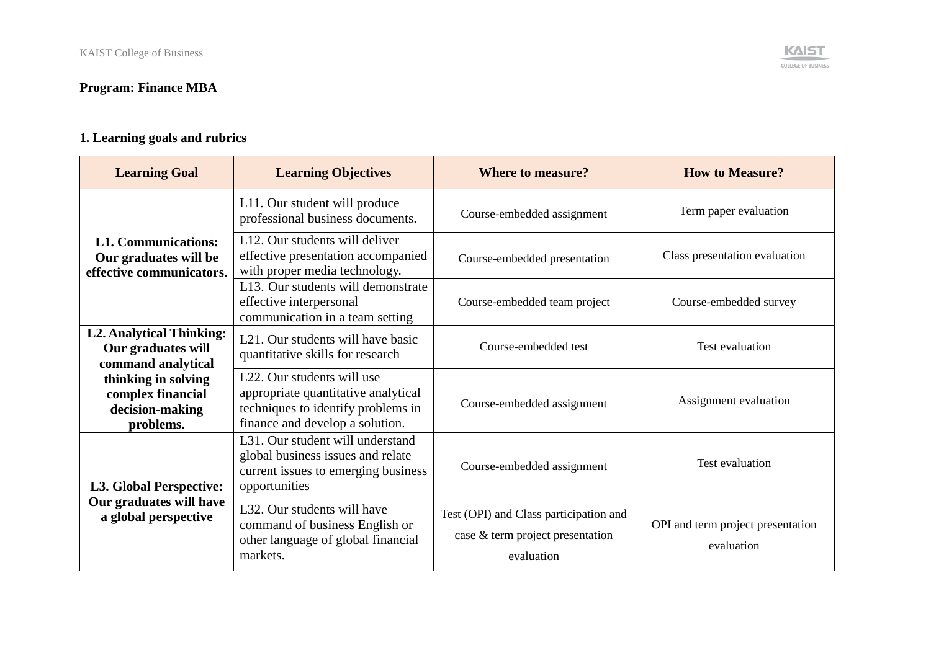## **Program: Finance MBA**

# **1. Learning goals and rubrics**

| <b>Learning Goal</b>                                                            | <b>Learning Objectives</b>                                                                                                                              | <b>Where to measure?</b>                                                                 | <b>How to Measure?</b>                          |
|---------------------------------------------------------------------------------|---------------------------------------------------------------------------------------------------------------------------------------------------------|------------------------------------------------------------------------------------------|-------------------------------------------------|
|                                                                                 | L11. Our student will produce<br>professional business documents.                                                                                       | Course-embedded assignment                                                               | Term paper evaluation                           |
| <b>L1. Communications:</b><br>Our graduates will be<br>effective communicators. | L12. Our students will deliver<br>effective presentation accompanied<br>with proper media technology.                                                   | Course-embedded presentation                                                             | Class presentation evaluation                   |
|                                                                                 | L13. Our students will demonstrate<br>effective interpersonal<br>communication in a team setting                                                        | Course-embedded team project                                                             | Course-embedded survey                          |
| <b>L2. Analytical Thinking:</b><br>Our graduates will<br>command analytical     | L <sub>21</sub> . Our students will have basic<br>quantitative skills for research                                                                      | Course-embedded test                                                                     | Test evaluation                                 |
| thinking in solving<br>complex financial<br>decision-making<br>problems.        | L <sub>22</sub> . Our students will use<br>appropriate quantitative analytical<br>techniques to identify problems in<br>finance and develop a solution. | Course-embedded assignment                                                               | Assignment evaluation                           |
| <b>L3. Global Perspective:</b>                                                  | L <sub>31</sub> . Our student will understand<br>global business issues and relate<br>current issues to emerging business<br>opportunities              | Course-embedded assignment                                                               | Test evaluation                                 |
| Our graduates will have<br>a global perspective                                 | L32. Our students will have<br>command of business English or<br>other language of global financial<br>markets.                                         | Test (OPI) and Class participation and<br>case & term project presentation<br>evaluation | OPI and term project presentation<br>evaluation |

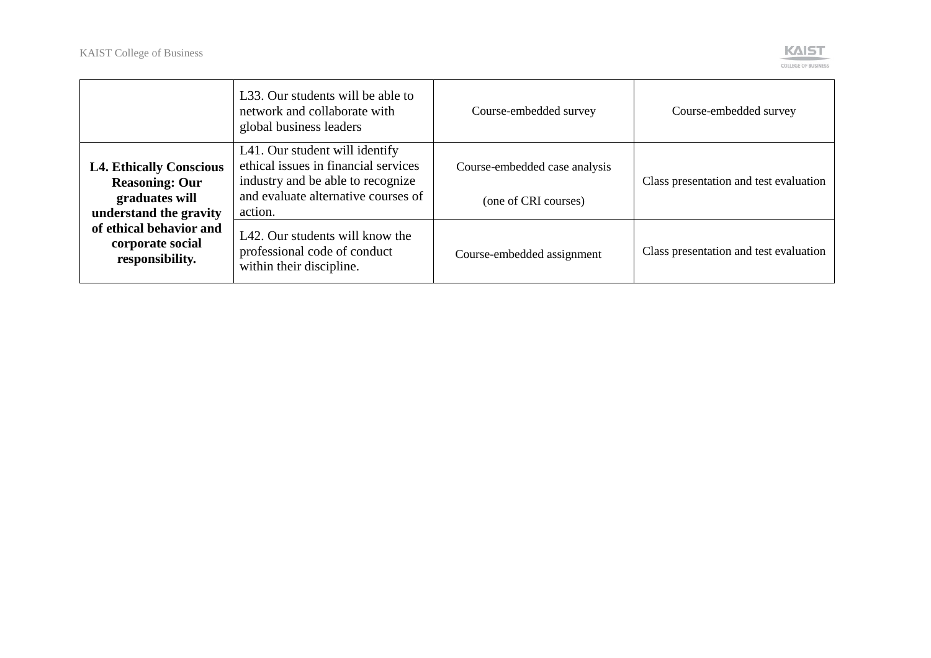

|                                                                                                     | L33. Our students will be able to<br>network and collaborate with<br>global business leaders                                                                  | Course-embedded survey                                | Course-embedded survey                 |
|-----------------------------------------------------------------------------------------------------|---------------------------------------------------------------------------------------------------------------------------------------------------------------|-------------------------------------------------------|----------------------------------------|
| <b>L4. Ethically Conscious</b><br><b>Reasoning: Our</b><br>graduates will<br>understand the gravity | L41. Our student will identify<br>ethical issues in financial services<br>industry and be able to recognize<br>and evaluate alternative courses of<br>action. | Course-embedded case analysis<br>(one of CRI courses) | Class presentation and test evaluation |
| of ethical behavior and<br>corporate social<br>responsibility.                                      | L42. Our students will know the<br>professional code of conduct<br>within their discipline.                                                                   | Course-embedded assignment                            | Class presentation and test evaluation |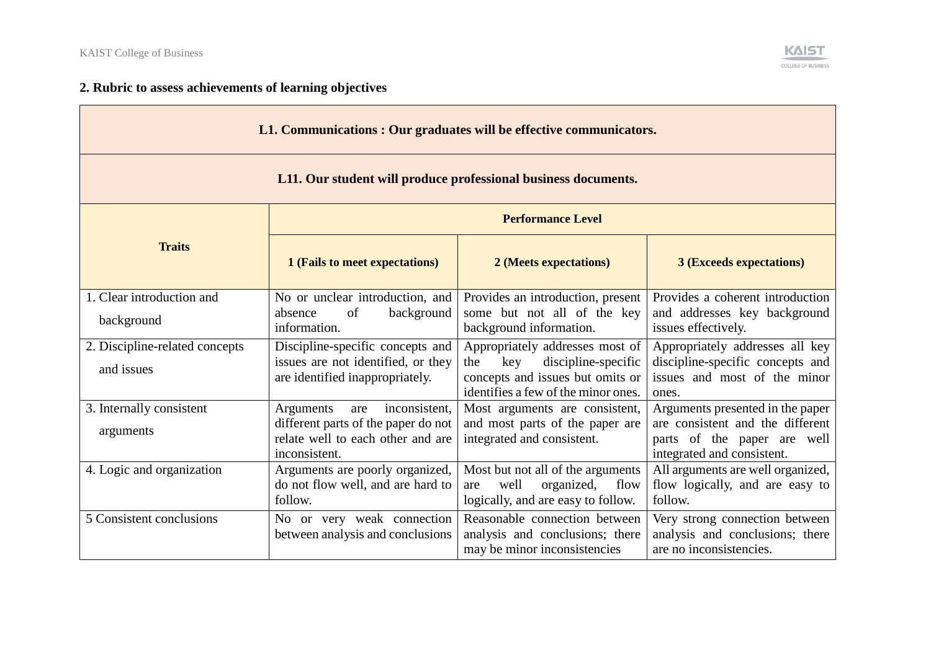$\sim$ 



## **2. Rubric to assess achievements of learning objectives**

| L1. Communications : Our graduates will be effective communicators. |                                                                                                                                |                                                                                                                                                 |                                                                                                                                   |  |
|---------------------------------------------------------------------|--------------------------------------------------------------------------------------------------------------------------------|-------------------------------------------------------------------------------------------------------------------------------------------------|-----------------------------------------------------------------------------------------------------------------------------------|--|
| L11. Our student will produce professional business documents.      |                                                                                                                                |                                                                                                                                                 |                                                                                                                                   |  |
|                                                                     | <b>Performance Level</b>                                                                                                       |                                                                                                                                                 |                                                                                                                                   |  |
| <b>Traits</b>                                                       | 1 (Fails to meet expectations)                                                                                                 | 2 (Meets expectations)                                                                                                                          | <b>3 (Exceeds expectations)</b>                                                                                                   |  |
| 1. Clear introduction and<br>background                             | No or unclear introduction, and<br>of<br>absence<br>background<br>information.                                                 | Provides an introduction, present<br>some but not all of the key<br>background information.                                                     | Provides a coherent introduction<br>and addresses key background<br>issues effectively.                                           |  |
| 2. Discipline-related concepts<br>and issues                        | Discipline-specific concepts and<br>issues are not identified, or they<br>are identified inappropriately.                      | Appropriately addresses most of<br>key<br>discipline-specific<br>the<br>concepts and issues but omits or<br>identifies a few of the minor ones. | Appropriately addresses all key<br>discipline-specific concepts and<br>issues and most of the minor<br>ones.                      |  |
| 3. Internally consistent<br>arguments                               | inconsistent,<br>Arguments<br>are<br>different parts of the paper do not<br>relate well to each other and are<br>inconsistent. | Most arguments are consistent,<br>and most parts of the paper are<br>integrated and consistent.                                                 | Arguments presented in the paper<br>are consistent and the different<br>parts of the paper are well<br>integrated and consistent. |  |
| 4. Logic and organization                                           | Arguments are poorly organized,<br>do not flow well, and are hard to<br>follow.                                                | Most but not all of the arguments<br>well<br>organized,<br>flow<br>are<br>logically, and are easy to follow.                                    | All arguments are well organized,<br>flow logically, and are easy to<br>follow.                                                   |  |
| 5 Consistent conclusions                                            | No or very weak connection<br>between analysis and conclusions                                                                 | Reasonable connection between<br>analysis and conclusions; there<br>may be minor inconsistencies                                                | Very strong connection between<br>analysis and conclusions; there<br>are no inconsistencies.                                      |  |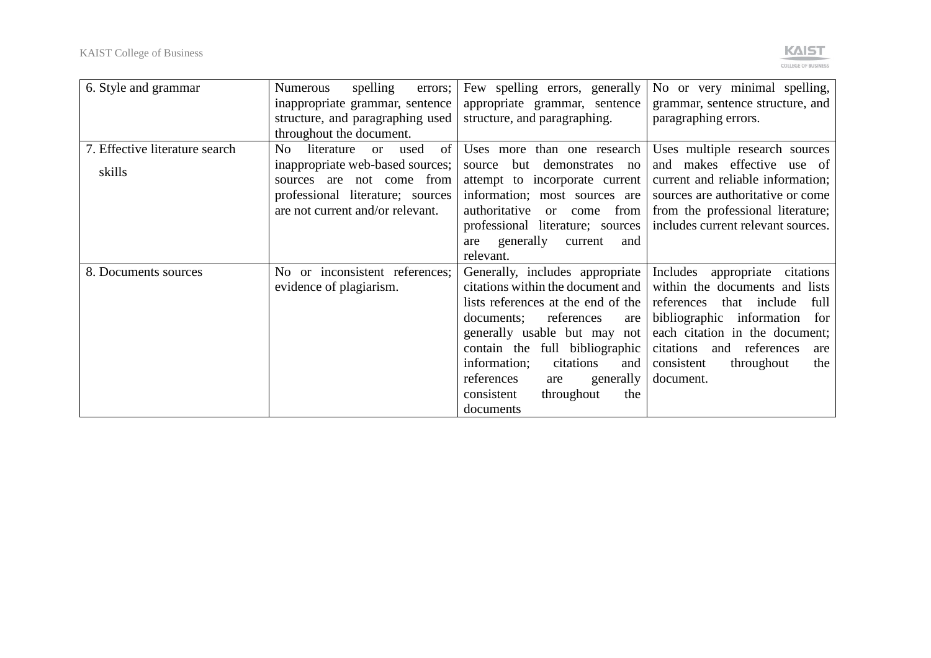

| 6. Style and grammar                     | spelling<br><b>Numerous</b><br>errors;<br>inappropriate grammar, sentence<br>structure, and paragraphing used                                                                                             | Few spelling errors, generally<br>appropriate grammar, sentence<br>structure, and paragraphing.                                                                                                                                                                                                                                       | No or very minimal spelling,<br>grammar, sentence structure, and<br>paragraphing errors.                                                                                                                                                                                 |
|------------------------------------------|-----------------------------------------------------------------------------------------------------------------------------------------------------------------------------------------------------------|---------------------------------------------------------------------------------------------------------------------------------------------------------------------------------------------------------------------------------------------------------------------------------------------------------------------------------------|--------------------------------------------------------------------------------------------------------------------------------------------------------------------------------------------------------------------------------------------------------------------------|
| 7. Effective literature search<br>skills | throughout the document.<br>literature<br>of<br>No<br>used<br>or<br>inappropriate web-based sources;<br>sources are not come from<br>professional literature; sources<br>are not current and/or relevant. | Uses more than one research<br>but demonstrates no<br>source<br>attempt to incorporate current<br>information; most sources are<br>authoritative<br>from<br><sub>or</sub><br>come<br>professional literature; sources<br>generally<br>current<br>are<br>and<br>relevant.                                                              | Uses multiple research sources<br>and makes effective use of<br>current and reliable information;<br>sources are authoritative or come<br>from the professional literature;<br>includes current relevant sources.                                                        |
| 8. Documents sources                     | No or inconsistent references;<br>evidence of plagiarism.                                                                                                                                                 | Generally, includes appropriate<br>citations within the document and<br>lists references at the end of the<br>references<br>documents;<br>are<br>generally usable but may not<br>contain the full bibliographic<br>information;<br>citations<br>and<br>references<br>generally<br>are<br>consistent<br>throughout<br>the<br>documents | Includes<br>appropriate<br>citations<br>within the documents and lists<br>references<br>that include<br>full<br>bibliographic information<br>for<br>each citation in the document;<br>citations<br>and references<br>are<br>throughout<br>consistent<br>the<br>document. |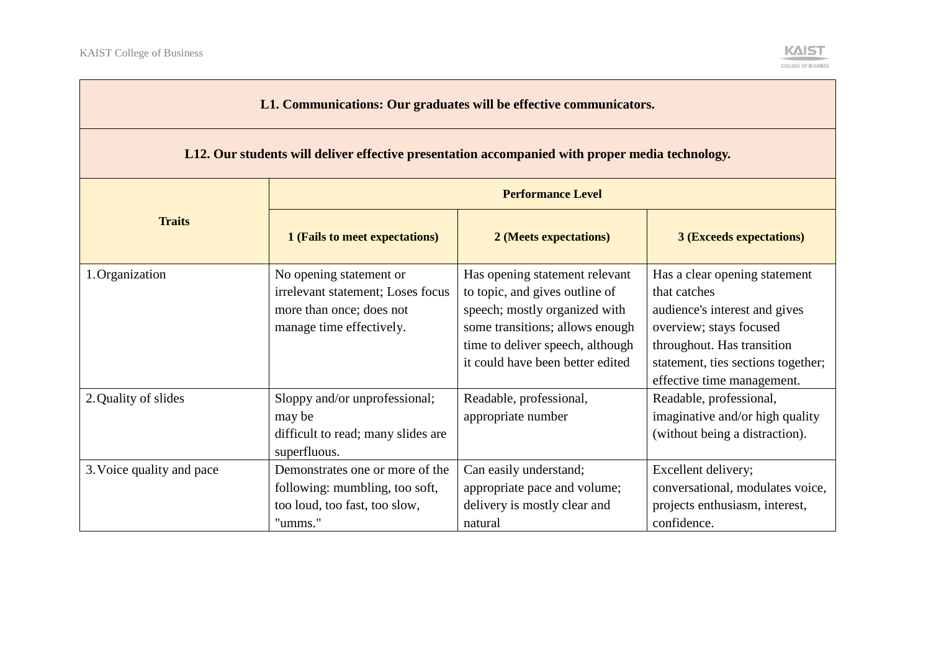and the control of the control of the control of



| L1. Communications: Our graduates will be effective communicators.                              |                                                                                                                      |                                                                                                                                                                                                              |                                                                                                                                                                                                             |  |  |
|-------------------------------------------------------------------------------------------------|----------------------------------------------------------------------------------------------------------------------|--------------------------------------------------------------------------------------------------------------------------------------------------------------------------------------------------------------|-------------------------------------------------------------------------------------------------------------------------------------------------------------------------------------------------------------|--|--|
| L12. Our students will deliver effective presentation accompanied with proper media technology. |                                                                                                                      |                                                                                                                                                                                                              |                                                                                                                                                                                                             |  |  |
|                                                                                                 | <b>Performance Level</b>                                                                                             |                                                                                                                                                                                                              |                                                                                                                                                                                                             |  |  |
| <b>Traits</b>                                                                                   | 1 (Fails to meet expectations)<br><b>3 (Exceeds expectations)</b><br>2 (Meets expectations)                          |                                                                                                                                                                                                              |                                                                                                                                                                                                             |  |  |
| 1. Organization                                                                                 | No opening statement or<br>irrelevant statement; Loses focus<br>more than once; does not<br>manage time effectively. | Has opening statement relevant<br>to topic, and gives outline of<br>speech; mostly organized with<br>some transitions; allows enough<br>time to deliver speech, although<br>it could have been better edited | Has a clear opening statement<br>that catches<br>audience's interest and gives<br>overview; stays focused<br>throughout. Has transition<br>statement, ties sections together;<br>effective time management. |  |  |
| 2. Quality of slides                                                                            | Sloppy and/or unprofessional;<br>may be<br>difficult to read; many slides are<br>superfluous.                        | Readable, professional,<br>appropriate number                                                                                                                                                                | Readable, professional,<br>imaginative and/or high quality<br>(without being a distraction).                                                                                                                |  |  |
| 3. Voice quality and pace                                                                       | Demonstrates one or more of the<br>following: mumbling, too soft,<br>too loud, too fast, too slow,<br>"umms."        | Can easily understand;<br>appropriate pace and volume;<br>delivery is mostly clear and<br>natural                                                                                                            | Excellent delivery;<br>conversational, modulates voice,<br>projects enthusiasm, interest,<br>confidence.                                                                                                    |  |  |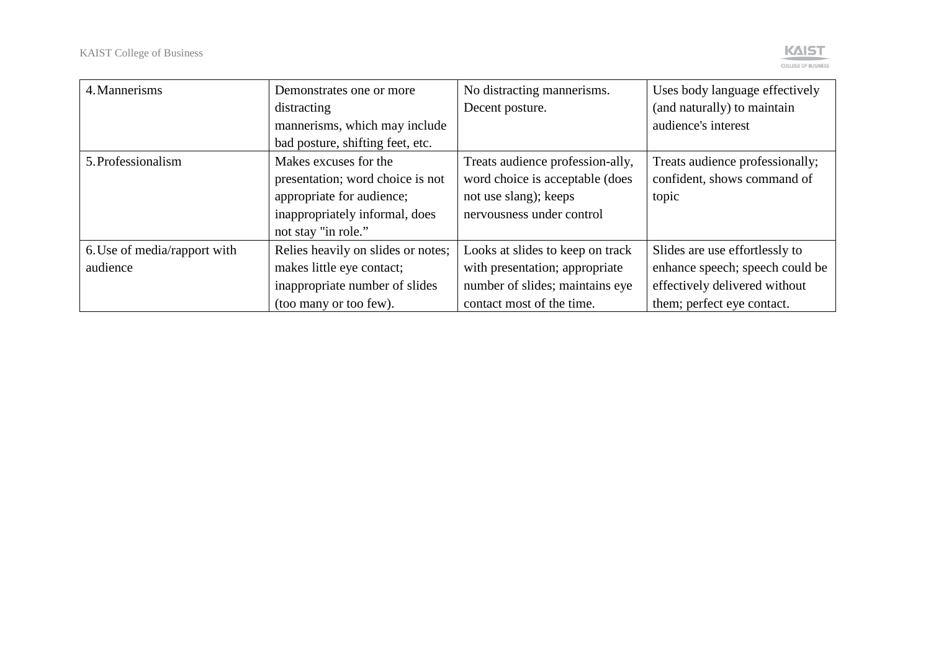

| 4. Mannerisms                | Demonstrates one or more           | No distracting mannerisms.       | Uses body language effectively  |
|------------------------------|------------------------------------|----------------------------------|---------------------------------|
|                              | distracting                        | Decent posture.                  | (and naturally) to maintain     |
|                              | mannerisms, which may include      |                                  | audience's interest             |
|                              | bad posture, shifting feet, etc.   |                                  |                                 |
| 5. Professionalism           | Makes excuses for the              | Treats audience profession-ally, | Treats audience professionally; |
|                              | presentation; word choice is not   | word choice is acceptable (does  | confident, shows command of     |
|                              | appropriate for audience;          | not use slang); keeps            | topic                           |
|                              | inappropriately informal, does     | nervousness under control        |                                 |
|                              | not stay "in role."                |                                  |                                 |
| 6. Use of media/rapport with | Relies heavily on slides or notes; | Looks at slides to keep on track | Slides are use effortlessly to  |
| audience                     | makes little eye contact;          | with presentation; appropriate   | enhance speech; speech could be |
|                              | inappropriate number of slides     | number of slides; maintains eye  | effectively delivered without   |
|                              | (too many or too few).             | contact most of the time.        | them; perfect eye contact.      |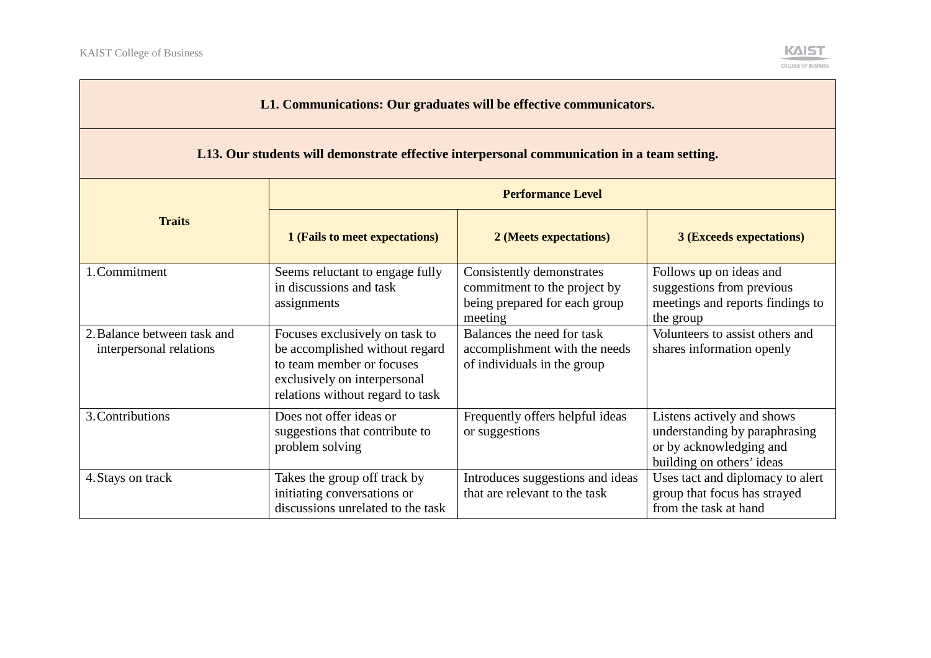

| L1. Communications: Our graduates will be effective communicators.                          |                                                                                                                                                                   |                                                                                                       |                                                                                                                     |  |
|---------------------------------------------------------------------------------------------|-------------------------------------------------------------------------------------------------------------------------------------------------------------------|-------------------------------------------------------------------------------------------------------|---------------------------------------------------------------------------------------------------------------------|--|
| L13. Our students will demonstrate effective interpersonal communication in a team setting. |                                                                                                                                                                   |                                                                                                       |                                                                                                                     |  |
| <b>Performance Level</b>                                                                    |                                                                                                                                                                   |                                                                                                       |                                                                                                                     |  |
| <b>Traits</b>                                                                               | 1 (Fails to meet expectations)                                                                                                                                    | 2 (Meets expectations)                                                                                | <b>3 (Exceeds expectations)</b>                                                                                     |  |
| 1. Commitment                                                                               | Seems reluctant to engage fully<br>in discussions and task<br>assignments                                                                                         | Consistently demonstrates<br>commitment to the project by<br>being prepared for each group<br>meeting | Follows up on ideas and<br>suggestions from previous<br>meetings and reports findings to<br>the group               |  |
| 2. Balance between task and<br>interpersonal relations                                      | Focuses exclusively on task to<br>be accomplished without regard<br>to team member or focuses<br>exclusively on interpersonal<br>relations without regard to task | Balances the need for task<br>accomplishment with the needs<br>of individuals in the group            | Volunteers to assist others and<br>shares information openly                                                        |  |
| 3. Contributions                                                                            | Does not offer ideas or<br>suggestions that contribute to<br>problem solving                                                                                      | Frequently offers helpful ideas<br>or suggestions                                                     | Listens actively and shows<br>understanding by paraphrasing<br>or by acknowledging and<br>building on others' ideas |  |
| 4. Stays on track                                                                           | Takes the group off track by<br>initiating conversations or<br>discussions unrelated to the task                                                                  | Introduces suggestions and ideas<br>that are relevant to the task                                     | Uses tact and diplomacy to alert<br>group that focus has strayed<br>from the task at hand                           |  |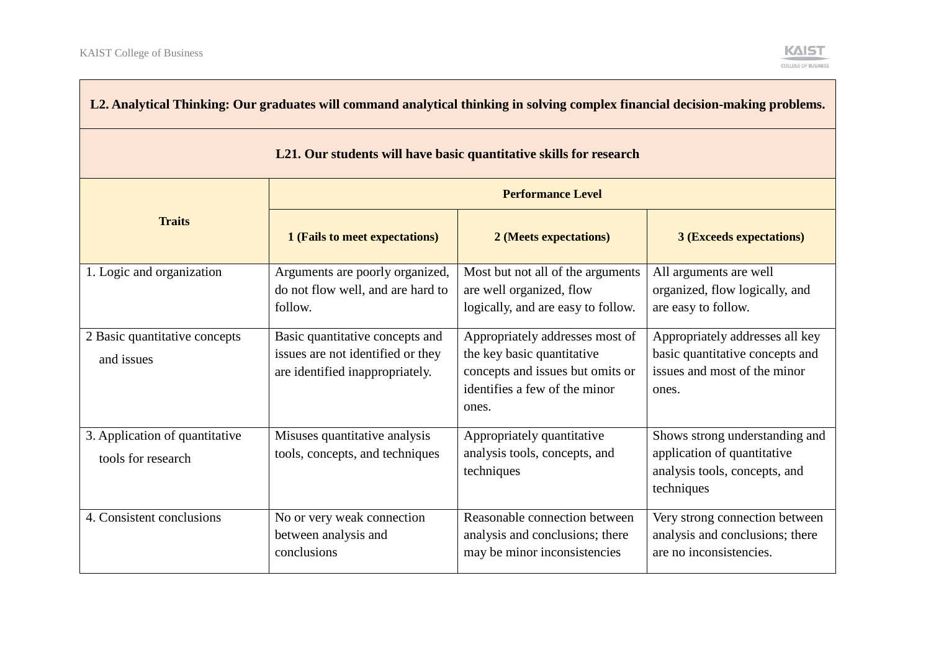| L2. Analytical Thinking: Our graduates will command analytical thinking in solving complex financial decision-making problems. |                                                                                                         |                                                                                                                                             |                                                                                                              |
|--------------------------------------------------------------------------------------------------------------------------------|---------------------------------------------------------------------------------------------------------|---------------------------------------------------------------------------------------------------------------------------------------------|--------------------------------------------------------------------------------------------------------------|
| L21. Our students will have basic quantitative skills for research                                                             |                                                                                                         |                                                                                                                                             |                                                                                                              |
|                                                                                                                                | <b>Performance Level</b>                                                                                |                                                                                                                                             |                                                                                                              |
| <b>Traits</b>                                                                                                                  | 1 (Fails to meet expectations)                                                                          | 2 (Meets expectations)                                                                                                                      | <b>3 (Exceeds expectations)</b>                                                                              |
| 1. Logic and organization                                                                                                      | Arguments are poorly organized,<br>do not flow well, and are hard to<br>follow.                         | Most but not all of the arguments<br>are well organized, flow<br>logically, and are easy to follow.                                         | All arguments are well<br>organized, flow logically, and<br>are easy to follow.                              |
| 2 Basic quantitative concepts<br>and issues                                                                                    | Basic quantitative concepts and<br>issues are not identified or they<br>are identified inappropriately. | Appropriately addresses most of<br>the key basic quantitative<br>concepts and issues but omits or<br>identifies a few of the minor<br>ones. | Appropriately addresses all key<br>basic quantitative concepts and<br>issues and most of the minor<br>ones.  |
| 3. Application of quantitative<br>tools for research                                                                           | Misuses quantitative analysis<br>tools, concepts, and techniques                                        | Appropriately quantitative<br>analysis tools, concepts, and<br>techniques                                                                   | Shows strong understanding and<br>application of quantitative<br>analysis tools, concepts, and<br>techniques |
| 4. Consistent conclusions                                                                                                      | No or very weak connection<br>between analysis and<br>conclusions                                       | Reasonable connection between<br>analysis and conclusions; there<br>may be minor inconsistencies                                            | Very strong connection between<br>analysis and conclusions; there<br>are no inconsistencies.                 |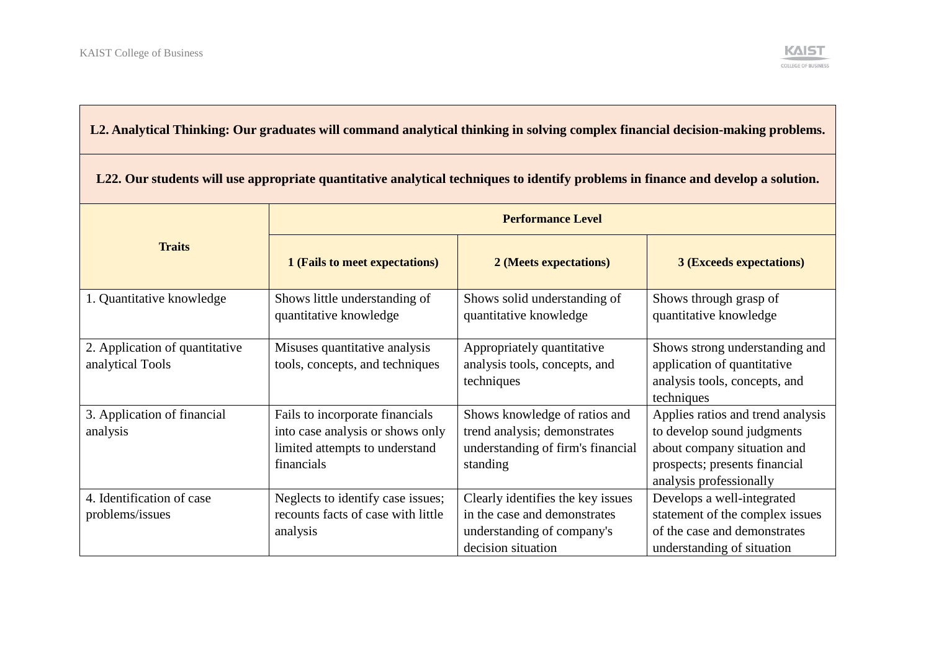

# **L2. Analytical Thinking: Our graduates will command analytical thinking in solving complex financial decision-making problems.**

| L22. Our students will use appropriate quantitative analytical techniques to identify problems in finance and develop a solution. |                                                                                                                     |                                                                                                                       |                                                                                                                                                            |  |
|-----------------------------------------------------------------------------------------------------------------------------------|---------------------------------------------------------------------------------------------------------------------|-----------------------------------------------------------------------------------------------------------------------|------------------------------------------------------------------------------------------------------------------------------------------------------------|--|
|                                                                                                                                   | <b>Performance Level</b>                                                                                            |                                                                                                                       |                                                                                                                                                            |  |
| <b>Traits</b>                                                                                                                     | 1 (Fails to meet expectations)                                                                                      | 2 (Meets expectations)                                                                                                | <b>3 (Exceeds expectations)</b>                                                                                                                            |  |
| 1. Quantitative knowledge                                                                                                         | Shows little understanding of<br>quantitative knowledge                                                             | Shows solid understanding of<br>quantitative knowledge                                                                | Shows through grasp of<br>quantitative knowledge                                                                                                           |  |
| 2. Application of quantitative<br>analytical Tools                                                                                | Misuses quantitative analysis<br>tools, concepts, and techniques                                                    | Appropriately quantitative<br>analysis tools, concepts, and<br>techniques                                             | Shows strong understanding and<br>application of quantitative<br>analysis tools, concepts, and<br>techniques                                               |  |
| 3. Application of financial<br>analysis                                                                                           | Fails to incorporate financials<br>into case analysis or shows only<br>limited attempts to understand<br>financials | Shows knowledge of ratios and<br>trend analysis; demonstrates<br>understanding of firm's financial<br>standing        | Applies ratios and trend analysis<br>to develop sound judgments<br>about company situation and<br>prospects; presents financial<br>analysis professionally |  |
| 4. Identification of case<br>problems/issues                                                                                      | Neglects to identify case issues;<br>recounts facts of case with little<br>analysis                                 | Clearly identifies the key issues<br>in the case and demonstrates<br>understanding of company's<br>decision situation | Develops a well-integrated<br>statement of the complex issues<br>of the case and demonstrates<br>understanding of situation                                |  |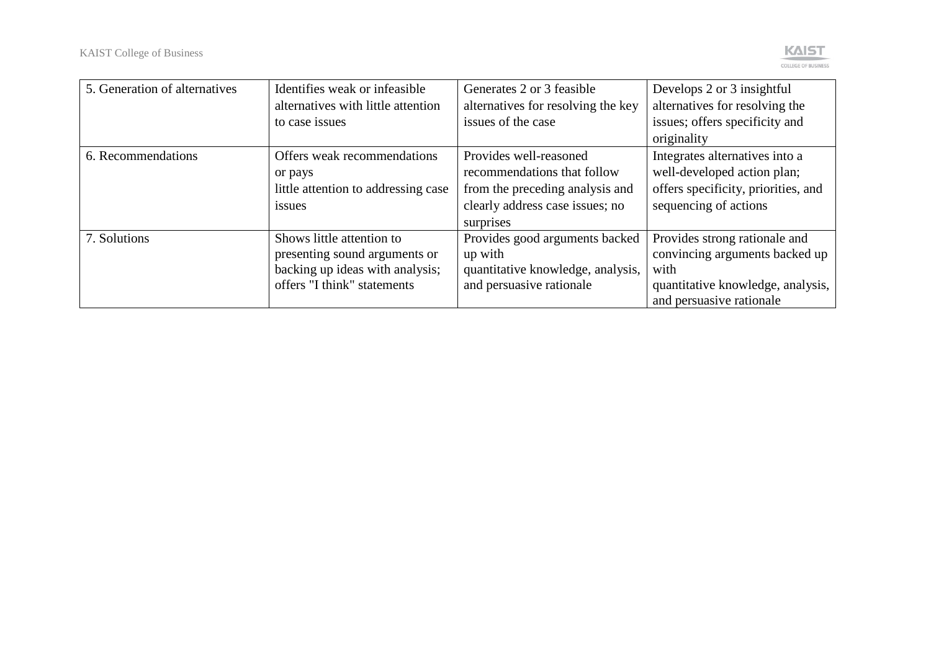

| 5. Generation of alternatives | Identifies weak or infeasible       | Generates 2 or 3 feasible          | Develops 2 or 3 insightful          |
|-------------------------------|-------------------------------------|------------------------------------|-------------------------------------|
|                               | alternatives with little attention  | alternatives for resolving the key | alternatives for resolving the      |
|                               | to case issues                      | issues of the case                 | issues; offers specificity and      |
|                               |                                     |                                    | originality                         |
| 6. Recommendations            | Offers weak recommendations         | Provides well-reasoned             | Integrates alternatives into a      |
|                               | or pays                             | recommendations that follow        | well-developed action plan;         |
|                               | little attention to addressing case | from the preceding analysis and    | offers specificity, priorities, and |
|                               | <i>issues</i>                       | clearly address case issues; no    | sequencing of actions               |
|                               |                                     | surprises                          |                                     |
| 7. Solutions                  | Shows little attention to           | Provides good arguments backed     | Provides strong rationale and       |
|                               | presenting sound arguments or       | up with                            | convincing arguments backed up      |
|                               | backing up ideas with analysis;     | quantitative knowledge, analysis,  | with                                |
|                               | offers "I think" statements         | and persuasive rationale           | quantitative knowledge, analysis,   |
|                               |                                     |                                    | and persuasive rationale            |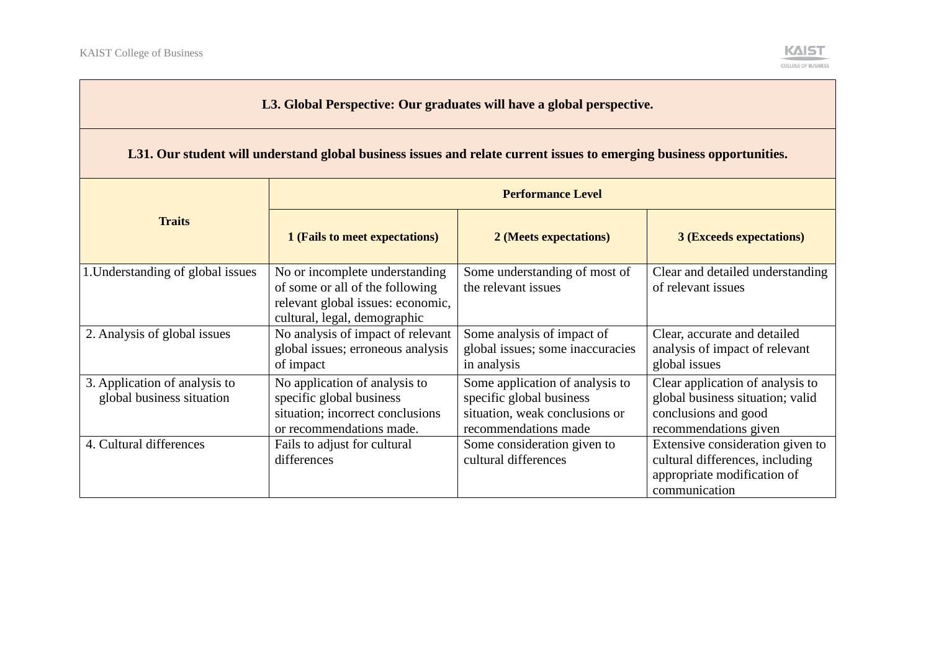

#### **L3. Global Perspective: Our graduates will have a global perspective.**

#### **L31. Our student will understand global business issues and relate current issues to emerging business opportunities.**

|                                                            | <b>Performance Level</b>                                                                                                               |                                                                                                                       |                                                                                                                       |
|------------------------------------------------------------|----------------------------------------------------------------------------------------------------------------------------------------|-----------------------------------------------------------------------------------------------------------------------|-----------------------------------------------------------------------------------------------------------------------|
| <b>Traits</b>                                              | 1 (Fails to meet expectations)                                                                                                         | 2 (Meets expectations)                                                                                                | <b>3 (Exceeds expectations)</b>                                                                                       |
| 1. Understanding of global issues                          | No or incomplete understanding<br>of some or all of the following<br>relevant global issues: economic,<br>cultural, legal, demographic | Some understanding of most of<br>the relevant issues                                                                  | Clear and detailed understanding<br>of relevant issues                                                                |
| 2. Analysis of global issues                               | No analysis of impact of relevant<br>global issues; erroneous analysis<br>of impact                                                    | Some analysis of impact of<br>global issues; some inaccuracies<br>in analysis                                         | Clear, accurate and detailed<br>analysis of impact of relevant<br>global issues                                       |
| 3. Application of analysis to<br>global business situation | No application of analysis to<br>specific global business<br>situation; incorrect conclusions<br>or recommendations made.              | Some application of analysis to<br>specific global business<br>situation, weak conclusions or<br>recommendations made | Clear application of analysis to<br>global business situation; valid<br>conclusions and good<br>recommendations given |
| 4. Cultural differences                                    | Fails to adjust for cultural<br>differences                                                                                            | Some consideration given to<br>cultural differences                                                                   | Extensive consideration given to<br>cultural differences, including<br>appropriate modification of<br>communication   |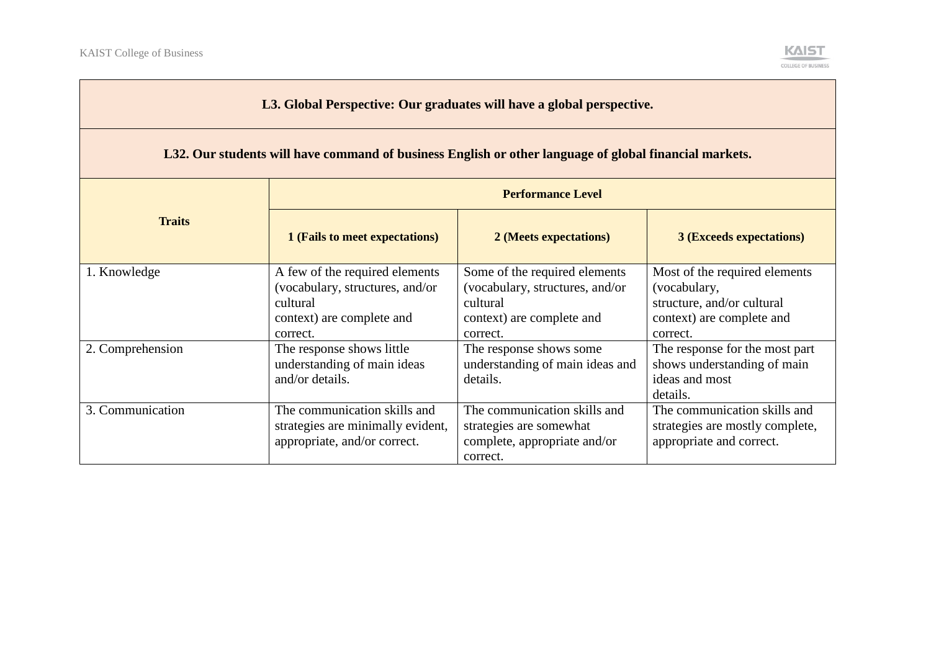

| L3. Global Perspective: Our graduates will have a global perspective.                                  |                                                                                                                        |                                                                                                                       |                                                                                                                      |  |
|--------------------------------------------------------------------------------------------------------|------------------------------------------------------------------------------------------------------------------------|-----------------------------------------------------------------------------------------------------------------------|----------------------------------------------------------------------------------------------------------------------|--|
| L32. Our students will have command of business English or other language of global financial markets. |                                                                                                                        |                                                                                                                       |                                                                                                                      |  |
|                                                                                                        | <b>Performance Level</b>                                                                                               |                                                                                                                       |                                                                                                                      |  |
| <b>Traits</b>                                                                                          | 1 (Fails to meet expectations)                                                                                         | 2 (Meets expectations)                                                                                                | <b>3 (Exceeds expectations)</b>                                                                                      |  |
| 1. Knowledge                                                                                           | A few of the required elements<br>(vocabulary, structures, and/or<br>cultural<br>context) are complete and<br>correct. | Some of the required elements<br>(vocabulary, structures, and/or<br>cultural<br>context) are complete and<br>correct. | Most of the required elements<br>(vocabulary,<br>structure, and/or cultural<br>context) are complete and<br>correct. |  |
| 2. Comprehension                                                                                       | The response shows little<br>understanding of main ideas<br>and/or details.                                            | The response shows some<br>understanding of main ideas and<br>details.                                                | The response for the most part<br>shows understanding of main<br>ideas and most<br>details.                          |  |
| 3. Communication                                                                                       | The communication skills and<br>strategies are minimally evident,<br>appropriate, and/or correct.                      | The communication skills and<br>strategies are somewhat<br>complete, appropriate and/or<br>correct.                   | The communication skills and<br>strategies are mostly complete,<br>appropriate and correct.                          |  |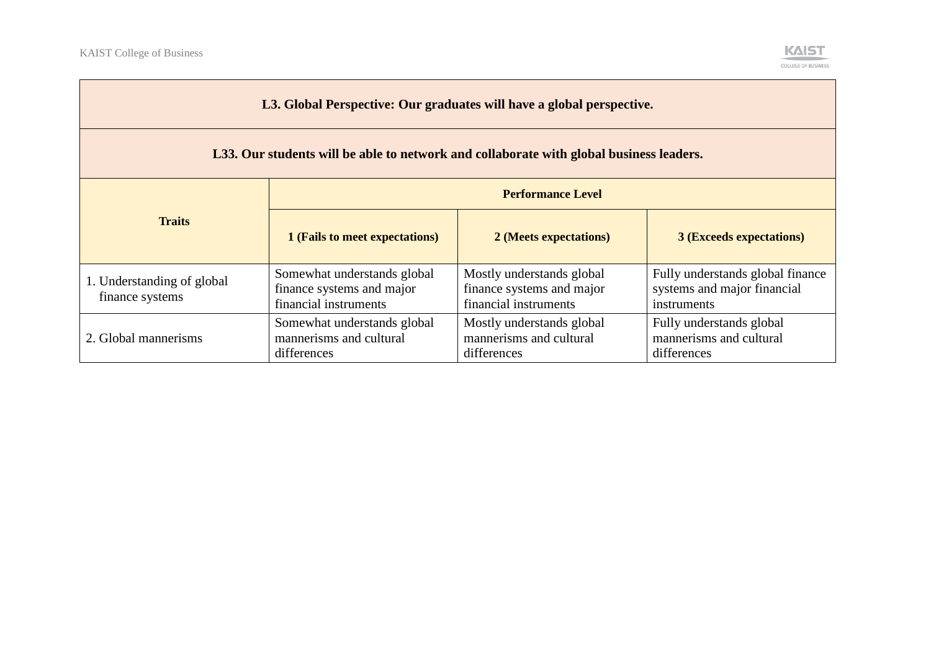

| L3. Global Perspective: Our graduates will have a global perspective.<br>L33. Our students will be able to network and collaborate with global business leaders. |                                                                                   |                                                                                 |                                                                                |  |  |  |
|------------------------------------------------------------------------------------------------------------------------------------------------------------------|-----------------------------------------------------------------------------------|---------------------------------------------------------------------------------|--------------------------------------------------------------------------------|--|--|--|
| <b>Performance Level</b>                                                                                                                                         |                                                                                   |                                                                                 |                                                                                |  |  |  |
| <b>Traits</b>                                                                                                                                                    | 1 (Fails to meet expectations)                                                    | 2 (Meets expectations)                                                          | <b>3 (Exceeds expectations)</b>                                                |  |  |  |
| 1. Understanding of global<br>finance systems                                                                                                                    | Somewhat understands global<br>finance systems and major<br>financial instruments | Mostly understands global<br>finance systems and major<br>financial instruments | Fully understands global finance<br>systems and major financial<br>instruments |  |  |  |
| 2. Global mannerisms                                                                                                                                             | Somewhat understands global<br>mannerisms and cultural<br>differences             | Mostly understands global<br>mannerisms and cultural<br>differences             | Fully understands global<br>mannerisms and cultural<br>differences             |  |  |  |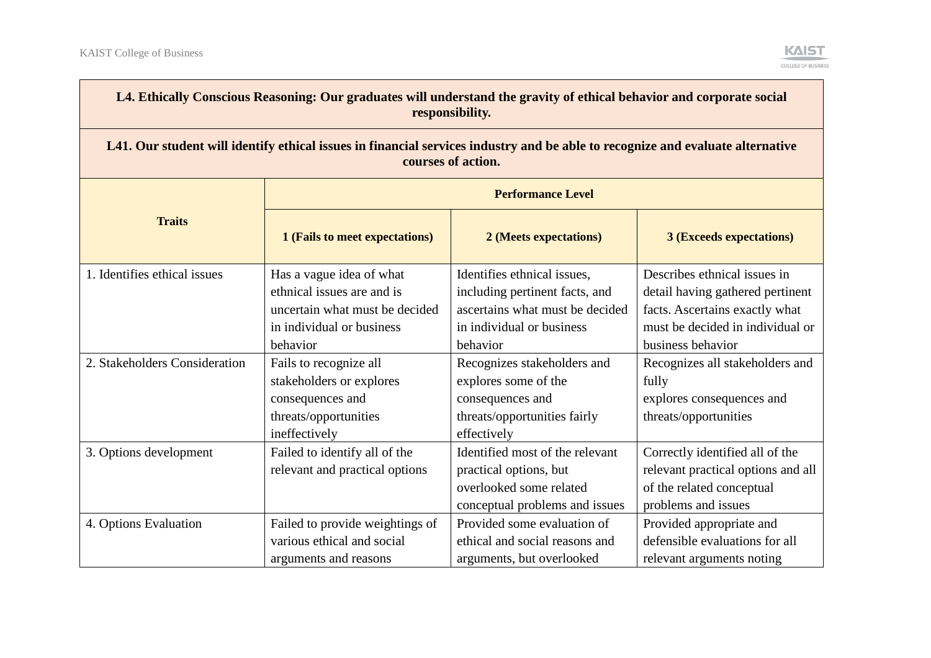

| L4. Ethically Conscious Reasoning: Our graduates will understand the gravity of ethical behavior and corporate social<br>responsibility.             |                                                                                                                  |                                                                                                                        |                                                                                                                           |  |  |  |
|------------------------------------------------------------------------------------------------------------------------------------------------------|------------------------------------------------------------------------------------------------------------------|------------------------------------------------------------------------------------------------------------------------|---------------------------------------------------------------------------------------------------------------------------|--|--|--|
| L41. Our student will identify ethical issues in financial services industry and be able to recognize and evaluate alternative<br>courses of action. |                                                                                                                  |                                                                                                                        |                                                                                                                           |  |  |  |
|                                                                                                                                                      | <b>Performance Level</b>                                                                                         |                                                                                                                        |                                                                                                                           |  |  |  |
| <b>Traits</b>                                                                                                                                        | 1 (Fails to meet expectations)                                                                                   | 2 (Meets expectations)                                                                                                 | <b>3 (Exceeds expectations)</b>                                                                                           |  |  |  |
| 1. Identifies ethical issues                                                                                                                         | Has a vague idea of what<br>ethnical issues are and is<br>uncertain what must be decided                         | Identifies ethnical issues,<br>including pertinent facts, and<br>ascertains what must be decided                       | Describes ethnical issues in<br>detail having gathered pertinent<br>facts. Ascertains exactly what                        |  |  |  |
|                                                                                                                                                      | in individual or business<br>behavior                                                                            | in individual or business<br>behavior                                                                                  | must be decided in individual or<br>business behavior                                                                     |  |  |  |
| 2. Stakeholders Consideration                                                                                                                        | Fails to recognize all<br>stakeholders or explores<br>consequences and<br>threats/opportunities<br>ineffectively | Recognizes stakeholders and<br>explores some of the<br>consequences and<br>threats/opportunities fairly<br>effectively | Recognizes all stakeholders and<br>fully<br>explores consequences and<br>threats/opportunities                            |  |  |  |
| 3. Options development                                                                                                                               | Failed to identify all of the<br>relevant and practical options                                                  | Identified most of the relevant<br>practical options, but<br>overlooked some related<br>conceptual problems and issues | Correctly identified all of the<br>relevant practical options and all<br>of the related conceptual<br>problems and issues |  |  |  |
| 4. Options Evaluation                                                                                                                                | Failed to provide weightings of<br>various ethical and social<br>arguments and reasons                           | Provided some evaluation of<br>ethical and social reasons and<br>arguments, but overlooked                             | Provided appropriate and<br>defensible evaluations for all<br>relevant arguments noting                                   |  |  |  |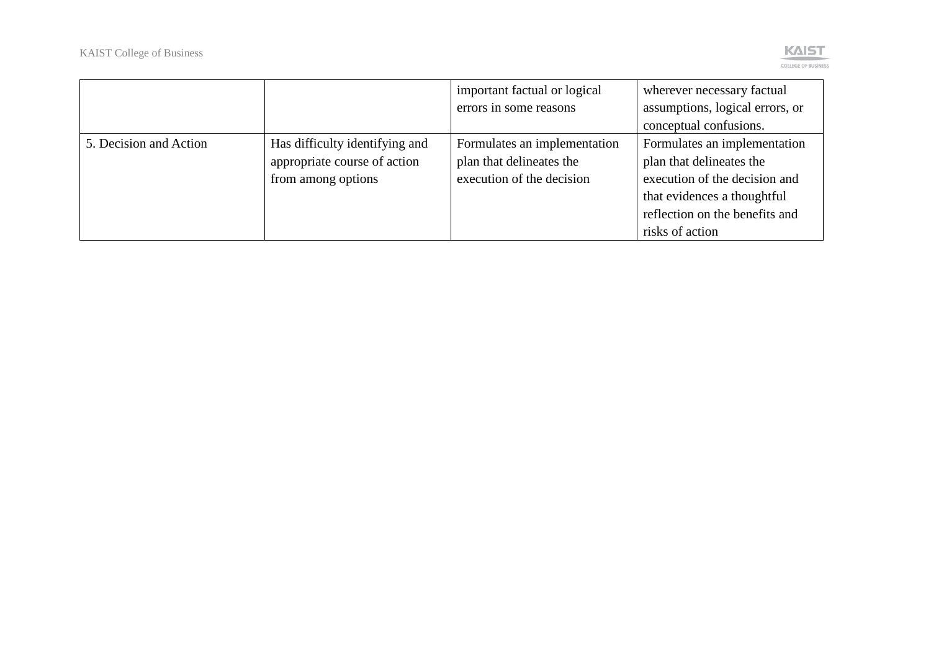

|                        |                                                                                      | important factual or logical<br>errors in some reasons                                | wherever necessary factual<br>assumptions, logical errors, or<br>conceptual confusions.                                                                                       |
|------------------------|--------------------------------------------------------------------------------------|---------------------------------------------------------------------------------------|-------------------------------------------------------------------------------------------------------------------------------------------------------------------------------|
| 5. Decision and Action | Has difficulty identifying and<br>appropriate course of action<br>from among options | Formulates an implementation<br>plan that delineates the<br>execution of the decision | Formulates an implementation<br>plan that delineates the<br>execution of the decision and<br>that evidences a thoughtful<br>reflection on the benefits and<br>risks of action |